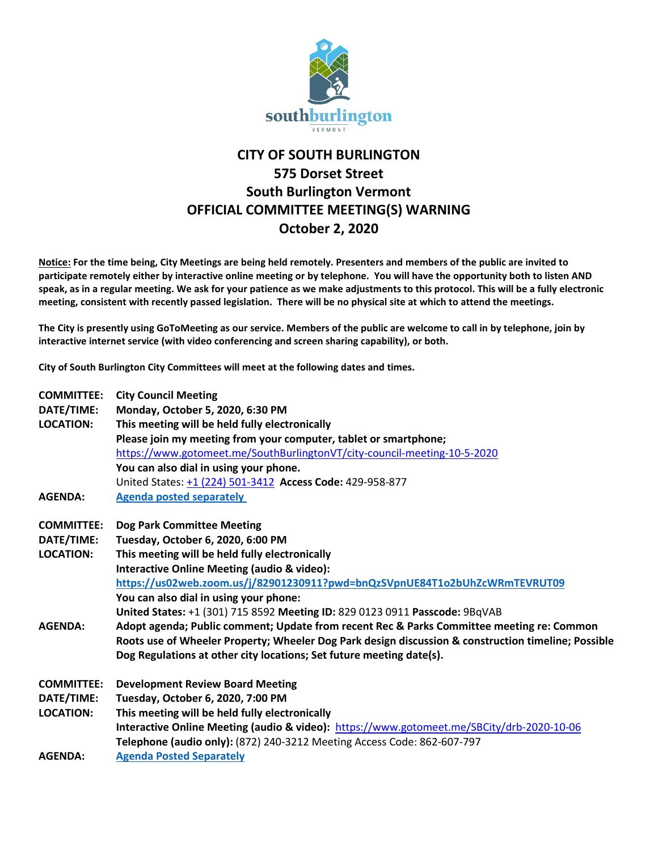

## **CITY OF SOUTH BURLINGTON 575 Dorset Street South Burlington Vermont OFFICIAL COMMITTEE MEETING(S) WARNING October 2, 2020**

**Notice: For the time being, City Meetings are being held remotely. Presenters and members of the public are invited to participate remotely either by interactive online meeting or by telephone. You will have the opportunity both to listen AND speak, as in a regular meeting. We ask for your patience as we make adjustments to this protocol. This will be a fully electronic meeting, consistent with recently passed legislation. There will be no physical site at which to attend the meetings.** 

**The City is presently using GoToMeeting as our service. Members of the public are welcome to call in by telephone, join by interactive internet service (with video conferencing and screen sharing capability), or both.**

**City of South Burlington City Committees will meet at the following dates and times.** 

| <b>COMMITTEE:</b> | <b>City Council Meeting</b>                                                                         |
|-------------------|-----------------------------------------------------------------------------------------------------|
| DATE/TIME:        | Monday, October 5, 2020, 6:30 PM                                                                    |
| <b>LOCATION:</b>  | This meeting will be held fully electronically                                                      |
|                   | Please join my meeting from your computer, tablet or smartphone;                                    |
|                   | https://www.gotomeet.me/SouthBurlingtonVT/city-council-meeting-10-5-2020                            |
|                   | You can also dial in using your phone.                                                              |
|                   | United States: +1 (224) 501-3412 Access Code: 429-958-877                                           |
| <b>AGENDA:</b>    | <b>Agenda posted separately</b>                                                                     |
| <b>COMMITTEE:</b> | <b>Dog Park Committee Meeting</b>                                                                   |
| DATE/TIME:        | Tuesday, October 6, 2020, 6:00 PM                                                                   |
| <b>LOCATION:</b>  | This meeting will be held fully electronically                                                      |
|                   | <b>Interactive Online Meeting (audio &amp; video):</b>                                              |
|                   | https://us02web.zoom.us/j/82901230911?pwd=bnQzSVpnUE84T1o2bUhZcWRmTEVRUT09                          |
|                   | You can also dial in using your phone:                                                              |
|                   | United States: +1 (301) 715 8592 Meeting ID: 829 0123 0911 Passcode: 9BqVAB                         |
| <b>AGENDA:</b>    | Adopt agenda; Public comment; Update from recent Rec & Parks Committee meeting re: Common           |
|                   | Roots use of Wheeler Property; Wheeler Dog Park design discussion & construction timeline; Possible |
|                   | Dog Regulations at other city locations; Set future meeting date(s).                                |
| <b>COMMITTEE:</b> | <b>Development Review Board Meeting</b>                                                             |
| DATE/TIME:        | Tuesday, October 6, 2020, 7:00 PM                                                                   |
| <b>LOCATION:</b>  | This meeting will be held fully electronically                                                      |
|                   | Interactive Online Meeting (audio & video): https://www.gotomeet.me/SBCity/drb-2020-10-06           |
|                   | Telephone (audio only): (872) 240-3212 Meeting Access Code: 862-607-797                             |
| <b>AGENDA:</b>    | <b>Agenda Posted Separately</b>                                                                     |